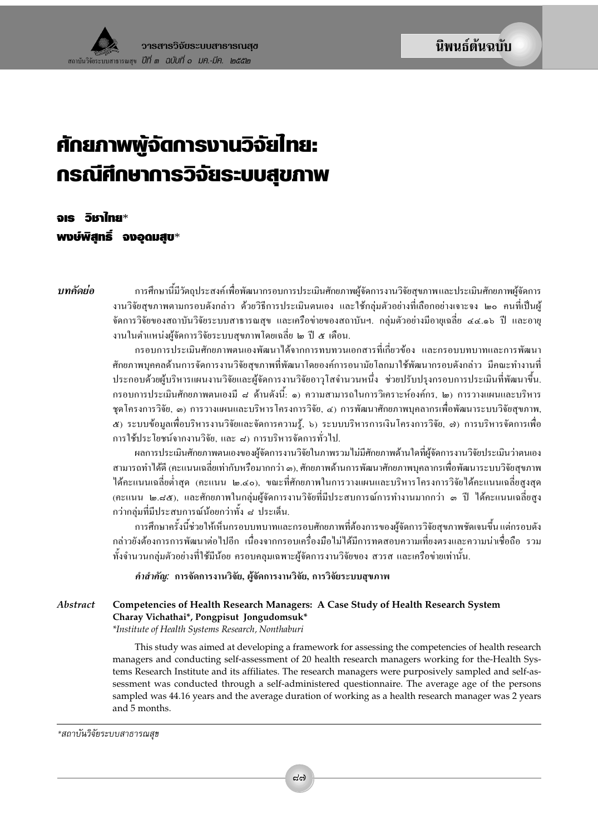# ้ศักยภาพพู้จัตการงานวิจัยไทย: กรณีศึกษาการวิจัยระบบสุขภาพ

จเร วิชาไทย\* พงษ์พิสทธิ์ จงอดมสบ∗

าเทคัดย่อ

ึการศึกษานี้มีวัตถุประสงค์เพื่อพัฒนากรอบการประเมินศักยภาพผู้จัดการงานวิจัยสุขภาพและประเมินศักยภาพผู้จัดการ งานวิจัยสุขภาพตามกรอบดังกล่าว ด้วยวิธีการประเมินตนเอง และใช้กลุ่มตัวอย่างที่เลือกอย่างเจาะจง ๒๐ คนที่เป็นผู้ จัดการวิจัยของสถาบันวิจัยระบบสาธารณสุข และเครือข่ายของสถาบันฯ. กลุ่มตัวอย่างมีอายุเฉลี่ย ๔๔.๑๖ ปี และอายุ งานในตำแหน่งผู้จัดการวิจัยระบบสุขภาพโดยเฉลี่ย ๒ ปี ๕ เดือน.

กรอบการประเมินศักยภาพตนเองพัฒนาได้จากการทบทวนเอกสารที่เกี่ยวข้อง และกรอบบทบาทและการพัฒนา ์ศักยภาพบุคคลด้านการจัดการงานวิจัยสุขภาพที่พัฒนาโดยองค์การอนามัยโลกมาใช้พัฒนากรอบดังกล่าว มีคณะทำงานที่ ประกอบด้วยผู้บริหารแผนงานวิจัยและผู้จัดการงานวิจัยอาวุโสจำนวนหนึ่ง ช่วยปรับปรุงกรอบการประเมินที่พัฒนาขึ้น. ึกรอบการประเมินศักยภาพตนเองมี ๘ ด้านดังนี้: ๑) ความสามารถในการวิเคราะห์องค์กร, ๒) การวางแผนและบริหาร ชุดโครงการวิจัย, ๑) การวางแผนและบริหารโครงการวิจัย, ๔) การพัฒนาศักยภาพบุคลากรเพื่อพัฒนาระบบวิจัยสุขภาพ, ๕) ระบบข้อมูลเพื่อบริหารงานวิจัยและจัดการความรู้, ๖) ระบบบริหารการเงินโครงการวิจัย, ๗) การบริหารจัดการเพื่อ ึการใช้ประโยชน์จากงานวิจัย, และ ๘) การบริหารจัดการทั่วไป.

ผลการประเมินศักยภาพตนเองของผู้จัดการงานวิจัยในภาพรวมไม่มีศักยภาพด้านใดที่ผู้จัดการงานวิจัยประเมินว่าตนเอง สามารถทำได้ดี (คะแนนเฉลี่ยเท่ากับหรือมากกว่า ๓), ศักยภาพด้านการพัฒนาศักยภาพบุคลากรเพื่อพัฒนาระบบวิจัยสุขภาพ ใด้คะแนนเฉลี่ยต่ำสุด (คะแนน ๒.๔๐), ขณะที่ศักยภาพในการวางแผนและบริหารโครงการวิจัยใด้คะแนนเฉลี่ยสูงสุด (คะแนน ๒.๘๕), และศักยภาพในกลุ่มผู้จัดการงานวิจัยที่มีประสบการณ์การทำงานมากกว่า ๑ ปี ใค้คะแนนเฉลี่ยสูง ึกว่ากลุ่มที่มีประสบการณ์น้อยกว่าทั้ง ๘ ประเด็น.

การศึกษาครั้งนี้ช่วยให้เห็นกรอบบทบาทและกรอบศักยภาพที่ต้องการของผู้จัดการวิจัยสุขภาพชัดเจนขึ้น แต่กรอบดัง กล่าวยังต้องการการพัฒนาต่อไปอีก เนื่องจากกรอบเครื่องมือไม่ได้มีการทดสอบความเที่ยงตรงและความน่าเชื่อถือ รวม ทั้งจำนวนกลุ่มตัวอย่างที่ใช้มีน้อย ครอบคลุมเฉพาะผู้จัดการงานวิจัยของ สวรส และเครือข่ายเท่านั้น.

*คำสำคัญ*: การจัดการงานวิจัย, ผู้จัดการงานวิจัย, การวิจัยระบบสุขภาพ

Abstract Competencies of Health Research Managers: A Case Study of Health Research System Charay Vichathai\*, Pongpisut Jongudomsuk\*

\*Institute of Health Systems Research, Nonthaburi

This study was aimed at developing a framework for assessing the competencies of health research managers and conducting self-assessment of 20 health research managers working for the-Health Systems Research Institute and its affiliates. The research managers were purposively sampled and self-assessment was conducted through a self-administered questionnaire. The average age of the persons sampled was 44.16 years and the average duration of working as a health research manager was 2 years and 5 months.

\*สถาบันวิจัยระบบสาธารณสุข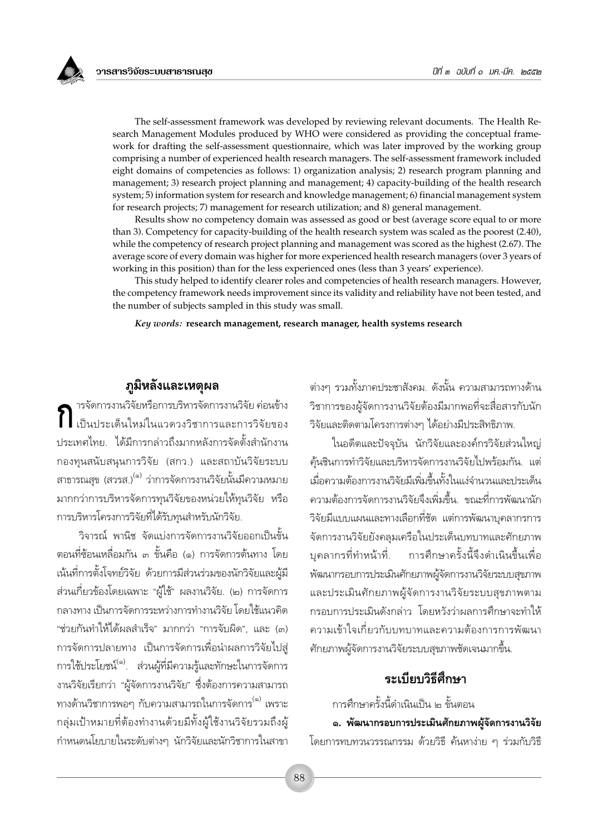The self-assessment framework was developed by reviewing relevant documents. The Health Research Management Modules produced by WHO were considered as providing the conceptual framework for drafting the self-assessment questionnaire, which was later improved by the working group comprising a number of experienced health research managers. The self-assessment framework included eight domains of competencies as follows: 1) organization analysis; 2) research program planning and management; 3) research project planning and management; 4) capacity-building of the health research system; 5) information system for research and knowledge management; 6) financial management system for research projects; 7) management for research utilization; and 8) general management.

Results show no competency domain was assessed as good or best (average score equal to or more than 3). Competency for capacity-building of the health research system was scaled as the poorest (2.40), while the competency of research project planning and management was scored as the highest (2.67). The average score of every domain was higher for more experienced health research managers (over 3 years of working in this position) than for the less experienced ones (less than 3 years' experience).

This study helped to identify clearer roles and competencies of health research managers. However, the competency framework needs improvement since its validity and reliability have not been tested, and the number of subjects sampled in this study was small.

Key words: research management, research manager, health systems research

**ภูมิหลังและเหตุผล**<br>ารจัดการงานวิจัยหรือการบริหารจัดการงานวิจัย ค่อนข้าง<br>เป็นประเด็นใหม่ในแวดวงวิชาการและการวิจัยของ ประเทศไทย. ได้มีการกล่าวถึงมากหลังการจัดตั้งสำนักงาน ึกองทุนสนับสนุนการวิจัย (สกว.) และสถาบันวิจัยระบบ สาธารณสุข (สวรส.)<sup>(๑)</sup> ว่าการจัดการงานวิจัยนั้นมีความหมาย มากกว่าการบริหารจัดการทุนวิจัยของหน่วยให้ทุนวิจัย หรือ การบริหารโครงการวิจัยที่ได้รับทนสำหรับนักวิจัย.

วิจารณ์ พานิช จัดแบ่งการจัดการงานวิจัยออกเป็นขั้น ตอนที่ซ้อนเหลื่อมกัน ๓ ขั้นคือ (๑) การจัดการต้นทาง โดย เน้นที่การตั้งโจทย์วิจัย ด้วยการมีส่วนร่วมของนักวิจัยและผู้มี ส่วนเกี่ยวข้องโดยเฉพาะ "ผู้ใช้" ผลงานวิจัย. (๒) การจัดการ ึกลางทาง เป็นการจัดการระหว่างการทำงานวิจัย โดยใช้แนวคิด "ช่วยกันทำให้ได้ผลสำเร็จ" มากกว่า "การจับผิด", และ (๓) การจัดการปลายทาง เป็นการจัดการเพื่อนำผลการวิจัยไปสู่ การใช้ประโยชน์<sup>(๑)</sup>. ส่วนผู้ที่มีความรู้และทักษะในการจัดการ งานวิจัยเรียกว่า "ผู้จัดการงานวิจัย" ซึ่งต้องการความสามารถ ทางด้านวิชาการพอๆ กับความสามารถในการจัดการ<sup>(๑)</sup> เพราะ กลุ่มเป้าหมายที่ต้องทำงานด้วยมีทั้งผู้ใช้งานวิจัยรวมถึงผู้ กำหนดนโยบายในระดับต่างๆ นักวิจัยและนักวิชาการในสาขา ต่างๆ รวมทั้งภาคประชาสังคม. ดังนั้น ความสามารถทางด้าน วิชาการของผู้จัดการงานวิจัยต้องมีมากพอที่จะสื่อสารกับนัก วิจัยและติดตามโครงการต่างๆ ได้อย่างมีประสิทธิภาพ.

ในอดีตและปัจจุบัน นักวิจัยและองค์กรวิจัยส่วนใหญ่ คุ้นชินการทำวิจัยและบริหารจัดการงานวิจัยไปพร้อมกัน. แต่ เมื่อความต้องการงานวิจัยมีเพิ่มขึ้นทั้งในแง่จำนวนและประเด็น ความต้องการจัดการงานวิจัยจึงเพิ่มขึ้น. ขณะที่การพัฒนานัก วิจัยมีแบบแผนและทางเลือกที่ชัด แต่การพัฒนาบุคลากรการ จัดการงานวิจัยยังคลุมเครือในประเด็นบทบาทและศักยภาพ บุคลากรที่ทำหน้าที่. การศึกษาครั้งนี้จึงดำเนินขึ้นเพื่อ พัฒนากรอบการประเมินศักยภาพผู้จัดการงานวิจัยระบบสุขภาพ และประเมินศักยภาพผู้จัดการงานวิจัยระบบสุขภาพตาม กรอบการประเมินดังกล่าว โดยหวังว่าผลการศึกษาจะทำให้ ความเข้าใจเกี่ยวกับบทบาทและความต้องการการพัฒนา ์ศักยภาพผู้จัดการงานวิจัยระบบสุขภาพชัดเจนมากขึ้น.

# ระเบียบวิธีสี่กางา

การศึกษาครั้งนี้ดำเนินเป็น ๒ ขั้นตอน

๑. พัฒนากรอบการประเมินศักยภาพผู้จัดการงานวิจัย โดยการทบทวนวรรณกรรม ด้วยวิธี ค้นหาง่าย ๆ ร่วมกับวิธี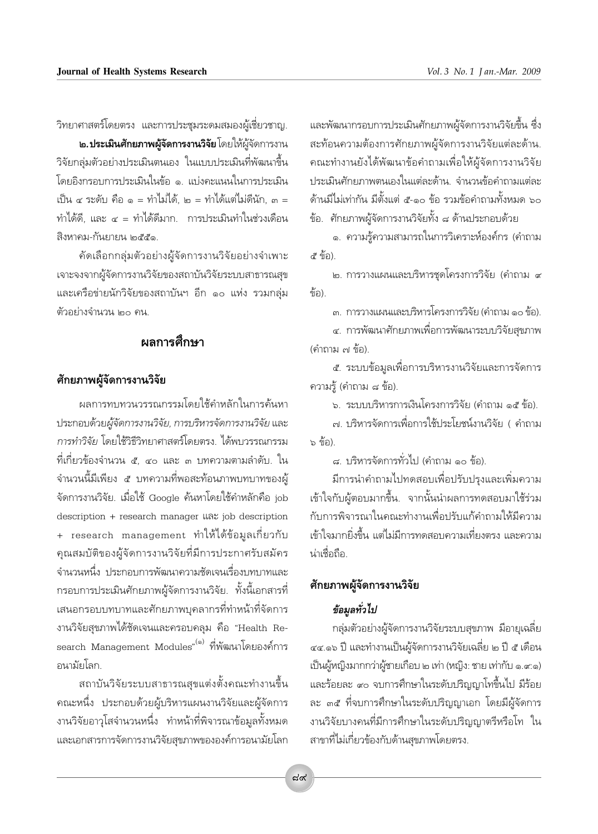วิทยาศาสตร์โดยตรง และการประชุมระดมสมองผู้เชี่ยวชาญ.

**๒.ประเมินศักยภาพผู้จัดการงานวิจัย** โดยให้ผู้จัดการงาน วิจัยกล่มตัวอย่างประเมินตนเอง ในแบบประเมินที่พัฒนาขึ้น โดยอิงกรอบการประเมินในข้อ ๑. แบ่งคะแนนในการประเมิน เป็น ๔ ระดับ คือ ๑ = ทำไม่ได้, ๒ = ทำได้แต่ไม่ดีนัก, ๓ = ้ทำได้ดี, และ ๔ = ทำได้ดีมาก. การประเมินทำในช่วงเดือน สิงหาคม-กันยายน ๒๕๕๑

คัดเลือกกลุ่มตัวอย่างผู้จัดการงานวิจัยอย่างจำเพาะ เจาะจงจากผู้จัดการงานวิจัยของสถาบันวิจัยระบบสาธารณสุข และเครือข่ายนักวิจัยของสถาบันฯ อีก ๑๐ แห่ง รวมกลุ่ม ตัวอย่างจำนวน ๒๐ คน.

# ผลการศึกษา

#### ศักยภาพผู้จัดการงานวิจัย

ผลการทบทวนวรรณกรรมโดยใช้คำหลักในการค้นหา ประกอบด้วยผู้จัดการงานวิจัย, การบริหารจัดการงานวิจัย และ การทำวิจัย โดยใช้วิธีวิทยาศาสตร์โดยตรง, ได้พบวรรณกรรม ู้ที่เกี่ยวข้องจำนวน ๕, ๔๐ และ ๓ บทความตามลำดับ. ใน จำนวนนี้มีเพียง ๕ บทความที่พอสะท้อนภาพบทบาทของผู้ จัดการงานวิจัย. เมื่อใช้ Google ค้นหาโดยใช้คำหลักคือ job description + research manager  $\text{I}$  at job description + research management ทำให้ได้ข้อมูลเกี่ยวกับ ดุณสมบัติของผู้จัดการงานวิจัยที่มีการประกาศรับสมัคร ้จำนวนหนึ่ง ประกอบการพัฒนาความชัดเจนเรื่องบทบาทและ กรอบการประเมินศักยภาพผู้จัดการงานวิจัย. ทั้งนี้เอกสารที่ เสนอกรอบบทบาทและศักยภาพบุคลากรที่ทำหน้าที่จัดการ งานวิจัยสุขภาพได้ชัดเจนและครอบคลุม คือ "Health Research Management Modules" ที่พัฒนาโดยองค์การ อนามัยโลก.

สถาบันวิจัยระบบสาธารณสุขแต่งตั้งคณะทำงานขึ้น ึ คณะหนึ่ง ประกอบด้วยผู้บริหารแผนงานวิจัยและผู้จัดการ งานวิจัยอาวุโสจำนวนหนึ่ง ทำหน้าที่พิจารณาข้อมูลทั้งหมด และเอกสารการจัดการงานวิจัยสุขภาพขององค์การอนามัยโลก และพัฒนากรอบการประเมินศักยภาพผู้จัดการงานวิจัยขึ้น ซึ่ง สะท้อนความต้องการศักยภาพผู้จัดการงานวิจัยแต่ละด้าน. ้คณะทำงานยังได้พัฒนาข้อคำถามเพื่อให้ผู้จัดการงานวิจัย ประเมินศักยภาพตนเองในแต่ละด้าน...จำนวนข้อคำถามแต่ละ ด้านมีไม่เท่ากัน มีตั้งแต่ ๕-๑๐ ข้อ รวมข้อคำถามทั้งหมด ๖๐ ข้อ. ศักยภาพผู้จัดการงานวิจัยทั้ง ๘ ด้านประกอบด้วย

๑. ความรู้ความสามารถในการวิเคราะห์องค์กร (คำถาม ๕ ข้อ).

๒. การวางแผนและบริหารชุดโครงการวิจัย (คำถาม ๙ ขี่อ)

.๓. การวางแผนและบริหารโครงการวิจัย (คำถาม ๑๐ ข้อ).

๔. การพัฒนาศักยภาพเพื่อการพัฒนาระบบวิจัยสุขภาพ (คำถาม ๗ ข้อ).

ี ๕. ระบบข้อมูลเพื่อการบริหารงานวิจัยและการจัดการ ความรู้ (คำถาม ๘ ข้อ).

๖. ระบบบริหารการเงินโครงการวิจัย (คำถาม ๑๕ ข้อ).

.๗. บริหารจัดการเพื่อการใช้ประโยชน์งานวิจัย ( คำถาม ๖ ข้อ)

ี ๘. บริหารจัดการทั่วไป (คำถาม ๑๐ ข้อ).

มีการนำคำถามไปทดสอบเพื่อปรับปรุงและเพิ่มความ เข้าใจกับผู้ตอบมากขึ้น. จากนั้นนำผลการทดสอบมาใช้ร่วม กับการพิจารณาในคณะทำงานเพื่อปรับแก้คำถามให้มีความ เข้าใจมากยิ่งขึ้น แต่ไม่มีการทดสอบความเที่ยงตรง และความ น่าเชื่อถือ

#### ศักยภาพผู้จัดการงานวิจัย

#### ข้อมูลทั่วไป

ึกลุ่มตัวอย่างผู้จัดการงานวิจัยระบบสุขภาพ มีอายุเฉลี่ย ๔๔.๑๖ ปี และทำงานเป็นผู้จัดการงานวิจัยเฉลี่ย ๒ ปี ๕ เดือน เป็นผู้หญิงมากกว่าผู้ชายเกือบ ๒ เท่า (หญิง: ชาย เท่ากับ ๑.๙.๑) และร้อยละ ๙๐ จบการศึกษาในระดับปริญญาโทขึ้นไป มีร้อย ละ ๓๕ ที่จบการศึกษาในระดับปริญญาเอก โดยมีผู้จัดการ งานวิจัยบางคนที่มีการศึกษาในระดับปริญญาตรีหรือโท ใน สาขาที่ไม่เกี่ยวข้องกับด้านสุขภาพโดยตรง.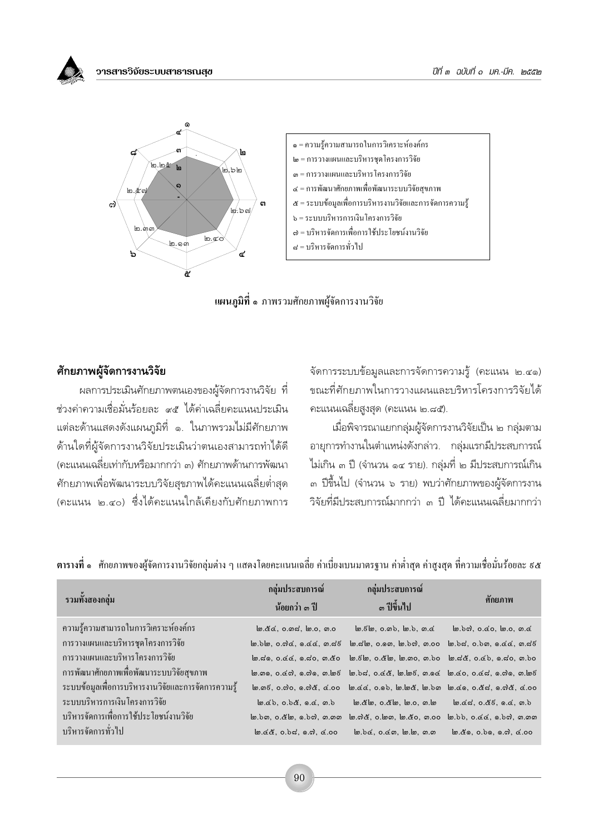วารสารวิจัยระบบสาธารณสข





#### ศักยภาพผู้จัดการงานวิจัย

่ ผลการประเมินศักยภาพตนเองของผู้จัดการงานวิจัย ที่ ช่วงค่าความเชื่อมั่นร้อยละ ๙๕ ได้ค่าเฉลี่ยคะแนนประเมิน แต่ละด้านแสดงดังแผนภูมิที่ ๑. ในภาพรวมไม่มีศักยภาพ ด้านใดที่ผู้จัดการงานวิจัยประเมินว่าตนเองสามารถทำได้ดี (คะแนนเฉลี่ยเท่ากับหรือมากกว่า ๓) ศักยภาพด้านการพัฒนา ้ศักยภาพเพื่อพัฒนาระบบวิจัยสุขภาพได้คะแนนเฉลี่ยต่ำสุด (คะแนน ๒.๔๐) ซึ่งได้คะแนนใกล้เคียงกับศักยภาพการ จัดการระบบข้อมูลและการจัดการความรู้ (คะแนน ๒.๔๑) ขณะที่ศักยภาพในการวางแผนและบริหารโครงการวิจัยได้ คะแนนเฉลี่ยสูงสุด (คะแนน ๒.๘๕).

เมื่อพิจารณาแยกกลุ่มผู้จัดการงานวิจัยเป็น ๒ กลุ่มตาม อายุการทำงานในตำแหน่งดังกล่าว. กลุ่มแรกมีประสบการณ์ ไม่เกิน ๓ ปี (จำนวน ๑๔ ราย). กลุ่มที่ ๒ มีประสบการณ์เกิน ิ ๓ ปีขึ้นไป (จำนวน ๖ ราย) พบว่าศักยภาพของผู้จัดการงาน วิจัยที่มีประสบการณ์มากกว่า ๓ ปี ได้คะแนนเฉลี่ยมากกว่า

| รวมทั้งสองกลุ่ม                                     | กลุ่มประสบการณ์<br>น้อยกว่า ๑ ปี     | กลุ่มประสบการณ์<br><sub>ด ปีขึ</sub> ้นไป                                                                                                                                                                                                                                                                                                                                                                       | ์ศักยภาพ |
|-----------------------------------------------------|--------------------------------------|-----------------------------------------------------------------------------------------------------------------------------------------------------------------------------------------------------------------------------------------------------------------------------------------------------------------------------------------------------------------------------------------------------------------|----------|
| ความรู้ความสามารถในการวิเคราะห์องค์กร               |                                      | <u>   ම, ඊ. ර, ග, ය, ල, ග, ය, ර, ග, ල, ග, ග, ය, ල, ර, ග, ර, ර, ග, ර, ග, ර, ග, ර, ග, ර, ල, ග, ර, ල, ග, ර, ල, ග, ර,</u>                                                                                                                                                                                                                                                                                           |          |
| การวางแผนและบริหารชุดโครงการวิจัย                   |                                      | <u> b,bb)</u> , o.ෆිແ, ඉ.ແແ, ග.ය්ෂි b,යේෂ, o.ඉග, b,bෆ), ග.oo b,bය, o.bග, ඉ.ແແ, ග.ය්ෂි                                                                                                                                                                                                                                                                                                                           |          |
| การวางแผนและบริหารโครงการวิจัย                      |                                      | ම.ය.ඉ. o.ය.ය., ඉ.ය.o., ගඊo   ම61 හි. oඊlම, 1ම.ගo, ගoo   මය.ඊ. o.ය.o, ඉ. ය.o., ගbo                                                                                                                                                                                                                                                                                                                               |          |
| การพัฒนาศักยภาพเพื่อพัฒนาระบบวิจัยสุขภาพ            |                                      | \ ග.ග , o.ය ෆ, ඉ.ෆුඉ, ග.\ ගෙදි   ගb ය', o.ය ය , k , ග. ගය   ග.ය ර, o.ය ය', ඉ.ෆුඉ, ග.\ ගුව                                                                                                                                                                                                                                                                                                                       |          |
| ระบบข้อมูลเพื่อการบริหารงานวิจัยและการจัดการความรู้ |                                      | $\omega$ . $\sigma$ , o. $\sigma$ o, $\sigma$ . $\sigma$ , $\sigma$ , $\sigma$ , $\sigma$ , $\sigma$ , $\sigma$ , $\sigma$ , $\sigma$ , $\sigma$ , $\sigma$ , $\sigma$ , $\sigma$ , $\sigma$ , $\sigma$ , $\sigma$ , $\sigma$ , $\sigma$ , $\sigma$ , $\sigma$ , $\sigma$ , $\sigma$ , $\sigma$ , $\sigma$ , $\sigma$ , $\sigma$ , $\sigma$ , $\sigma$ , $\sigma$ , $\sigma$ , $\sigma$ , $\sigma$ , $\sigma$ , |          |
| ระบบบริหารการเงินโครงการวิจัย                       | $\omega$ . Eb. 0.bc, 0.c, $\omega$ . |                                                                                                                                                                                                                                                                                                                                                                                                                 |          |
| บริหารจัดการเพื่อการใช้ประโยชน์งานวิจัย             |                                      | <u>   ම, b ග, o, č   ම, ඉ, b ෆ, ග, ග, ග, ග, ග, c) ල, ග, c ග, c ග, b ෆ, c ෆ, c ෆ, c ෆ, ග, ග, ග, ග, ග, ග, ග, ග, ග, ග</u>                                                                                                                                                                                                                                                                                          |          |
| บริหารจัดการทั่วไป                                  | $\omega$ . (&, o.bd, o.d, c.oo       | $\omega$ , $\delta$ o, $\alpha$ o, $\omega$ , $\omega$ , $\omega$ , $\omega$ , $\omega$ , $\omega$ , $\omega$ , $\omega$ , $\omega$ , $\omega$ , $\omega$ , $\omega$ , $\omega$ , $\omega$ , $\omega$ , $\omega$ , $\omega$ , $\omega$ , $\omega$ , $\omega$ , $\omega$ , $\omega$ , $\omega$ , $\omega$ , $\omega$ , $\omega$ , $\omega$ , $\omega$ , $\omega$ , $\omega$ , $\omega$ , $\omega$ , $\omega$ ,   |          |

ี ตารางที่ ๑ ศักยภาพของผู้จัดการงานวิจัยกลุ่มต่าง ๆ แสดงโดยคะแนนเฉลี่ย ค่าเบี่ยงเบนมาตรฐาน ค่าต่ำสุด ค่าสูงสุด ที่ความเชื่อมั่นร้อยละ ៩๕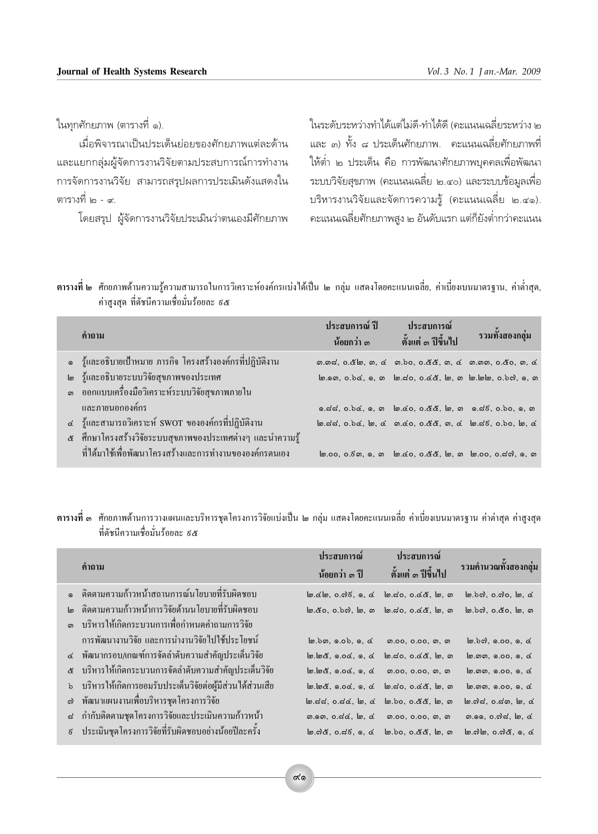ในทุกศักยภาพ (ตารางที่ ๑).

เมื่อพิจารณาเป็นประเด็นย่อยของศักยภาพแต่ละด้าน และแยกกลุ่มผู้จัดการงานวิจัยตามประสบการณ์การทำงาน การจัดการงานวิจัย สามารถสรุปผลการประเมินดังแสดงใน ตารางที่ ๒ - ๙.

โดยสรุป ผู้จัดการงานวิจัยประเมินว่าตนเองมีศักยภาพ

ในระดับระหว่างทำได้แต่ไม่ดี-ทำได้ดี (คะแนนเฉลี่ยระหว่าง ๒ และ ๓) ทั้ง ๘ ประเด็นศักยภาพ. คะแนนเฉลี่ยศักยภาพที่ ให้ต่ำ ๒ ประเด็น คือ การพัฒนาศักยภาพบุคคลเพื่อพัฒนา ระบบวิจัยสุขภาพ (คะแนนเฉลี่ย ๒.๔๐) และระบบข้อมูลเพื่อ บริหารงานวิจัยและจัดการความรู้ (คะแนนเฉลี่ย ๒.๔๑). ้ คะแนนเฉลี่ยศักยภาพสูง ๒ อันดับแรก แต่ก็ยังต่ำกว่าคะแนน

| <b>ตารางที่ ๒</b> ศักยภาพด้านความรู้ความสามารถในการวิเคราะห์องค์กรแบ่งได้เป็น ๒ กลุ่ม แสดงโดยคะแนนเฉลี่ย, ค่าเบี่ยงเบนมาตรฐาน, ค่าต่ำสุด, |  |  |
|-------------------------------------------------------------------------------------------------------------------------------------------|--|--|
| ้ค่าสงสด ที่ดัชนีความเชื่อมั่นร้อยละ ธ๕                                                                                                   |  |  |

| คำถาม                                                        | ี ประสบการณ์ ปี<br>น้อยกว่า ๓ | ประสบการณ์<br>์ ตั้งแต่ ๑ ปี่ขึ้นไป                                 | รวมทั้งสองกลุ่ม |
|--------------------------------------------------------------|-------------------------------|---------------------------------------------------------------------|-----------------|
| ึ๑ รู้และอธิบายเป้าหมาย ภารกิจ โครงสร้างองค์กรที่ปฏิบัติงาน  |                               | ග.ගය, o. & b, ග, c ග.bo, o. & &, ග, c ග. ගග, o. & o, ග, c           |                 |
| ๒ รู้และอธิบายระบบวิจัยสุขภาพของประเทศ                       |                               | ๒.๑๓, o.b๔, ๑, ๓ ๒.๘๐, o.๔๕, ๒, ๓ ๒.๒๒, o.b๗, ๑, ๓                  |                 |
| ี ๑ ออกแบบเครื่องมือวิเคราะห์ระบบวิจัยสุขภาพภายใน            |                               |                                                                     |                 |
| และภายนอกองค์กร                                              |                               | ด.สส. o.b«, ด. ด ๒.๔๐, o.๕๕, ๒. ๓ ด.สธ. o.bo, ด. ๓                  |                 |
| ๔ _ รู้และสามารถวิเคราะห์ SWOT ขององค์กรที่ปฏิบัติงาน        |                               | b.dd, o.bd, b, d m.do, o.dd, m, d b.d6, o.bo, b, d                  |                 |
| ่ ๕ ศึกษาโครงสร้างวิจัยระบบสุขภาพของประเทศต่างๆ และนำความรู้ |                               |                                                                     |                 |
| ที่ได้มาใช้เพื่อพัฒนาโครงสร้างและการทำงานขององค์กรตนเอง      |                               | <u>bo.oo, o. c</u> m, o, m bo. co, o. & &, bo, m bo.oo, o. da, o, m |                 |

ี **ตารางที่ ๓** ศักยภาพด้านการวางแผนและบริหารชุดโครงการวิจัยแบ่งเป็น ๒ กลุ่ม แสดงโดยคะแนนเฉลี่ย ค่าเบี่ยงเบนมาตรฐาน ค่าต่าสุด ค่าสูงสุด ที่ดัชนีความเชื่อมั่นร้อยละ ธ&

|                  | คำถาม                                                                | <u> ประสบการณ์</u><br>น้อยกว่า ๑ ปี                                        | <b>์ ประสบการณ์</b><br>์ตั้งแต่ ๑ ปีขึ้นไป                              | รวมคำนวณทั้งสองกล่ม                                               |
|------------------|----------------------------------------------------------------------|----------------------------------------------------------------------------|-------------------------------------------------------------------------|-------------------------------------------------------------------|
|                  | ๑ ติดตามความก้าวหน้าสถานการณ์นโยบายที่รับผิดชอบ                      |                                                                            | $\omega$ . E. $\omega$ , o. o. i. e. $\omega$ , o. o. o. e. e. e. o. o. | $\omega$ , $\omega$ , $\omega$ , $\omega$ , $\omega$ , $\omega$   |
|                  | <u>ไต ติดตามความก้าวหน้าการวิจัยด้านนโยบายที่รับผิดชอบ</u>           |                                                                            | ๒.๕๐, ๐.๖๗, ๒, ๓ ๒.๘๐, ๐.๔๕, ๒, ๓                                       | lo.bol, o.co, lo, o                                               |
|                  | ำเริหารให้เกิดกระบวนการเพื่อกำหนดคำถามการวิจัย                       |                                                                            |                                                                         |                                                                   |
|                  | ้ การพัฒนางานวิจัย และการนำงานวิจัยไปใช้ประโยชน์                     | $\omega$ , $\delta$ , $\omega$ , $\delta$ , $\delta$ , $\delta$ , $\delta$ | <i>ရ</i> .oo, o.oo, <i>ရ</i> , ၈                                        | $\omega$ , $\omega$ , $\omega$ , $\omega$ , $\omega$ , $\omega$   |
|                  | ๔ พัฒนากรอบ/เกณฑ์การจัดลำดับความสำคัญประเด็นวิจัย                    | $m, m, \alpha, n, \alpha, n, \alpha$                                       | $\omega$ , go, o, c &, $\omega$ , $\omega$                              | $\omega$ , $\omega$ , $\omega$ , $\omega$ , $\omega$ , $\omega$   |
|                  | ๕ บริหารให้เกิดกระบวนการจัดลำดับความสำคัญประเด็นวิจัย                | $\omega$ , $\omega$ , $\alpha$ , $\alpha$ , $\alpha$ , $\alpha$            | <i>ရ</i> .oo, o.oo, <i>ရ</i> , ၈                                        | $\omega$ , $\omega$ , $\omega$ , $\omega$ , $\omega$ , $\omega$   |
|                  | <u>่</u> ๖ บริหารให้เกิดการยอมรับประเด็นวิจัยต่อผู้มีส่วนได้ส่วนเสีย | $m \, m \, d$ , $n \, o \, d$ , $n \, d$                                   | <u>bo.</u> 20, 0. oc &, bo, on                                          | $\omega$ , $\omega$ , $\omega$ , $\omega$ , $\omega$ , $\omega$   |
|                  | ี ๗ พัฒนาแผนงานเพื่อบริหารชุดโครงการวิจัย                            | $\omega$ . $d$ $d$ , $o$ . $d$ $d$ , $\omega$ , $d$                        | <u> lo, bo, o.໕໕, lo, ෨</u>                                             | $\omega$ . $\alpha$ d, o.dn, $\omega$ , d                         |
| ದ                | กำกับติดตามชุดโครงการวิจัยและประเมินความก้าวหน้า                     |                                                                            |                                                                         | ை. , o.ஸ். மே, c                                                  |
| $\vec{\epsilon}$ | ประเมินชุดโครงการวิจัยที่รับผิดชอบอย่างน้อยปีละครั้ง                 |                                                                            | b. ෆ්රී, o. ෆ්6, o, c b.bo, o. ඊරී, b, ග                                | $\omega$ . $\omega$ $\omega$ , o. $\omega$ $\alpha$ , o, $\alpha$ |
|                  |                                                                      |                                                                            |                                                                         |                                                                   |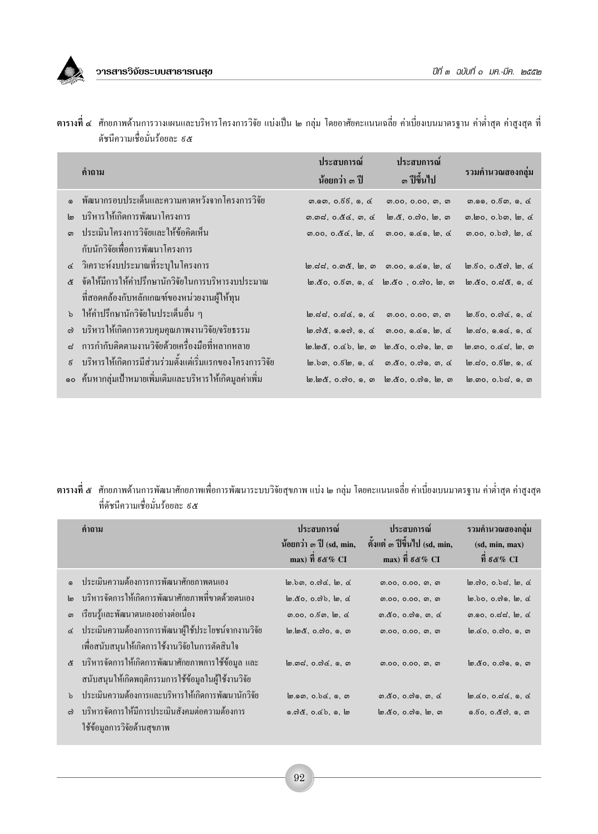

|                  | ้คำถาม                                                      | ประสบการณ์<br>น้อยกว่า ๓ ปี                                     | ประสบการณ์<br><sub>ด</sub> ปีขึ้นไป                                                                    | รวมคำนวณสองกลุ่ม                                     |
|------------------|-------------------------------------------------------------|-----------------------------------------------------------------|--------------------------------------------------------------------------------------------------------|------------------------------------------------------|
|                  | พัฒนากรอบประเด็นและความคาดหวังจากโครงการวิจัย               | $m.$ ඉග, $o.$ $\xi$ $\xi$ , ඉ, $\&$                             | <i>m</i> .oo, o.oo, <i>m</i> , <i>m</i>                                                                | (9.99, 0.50, 9, 6)                                   |
|                  | บริหารให้เกิดการพัฒนาโครงการ                                | $m$ . $m$ ದ, $o$ . $\alpha$ $\alpha$ , $m$ , $\alpha$           | <u>bo. &amp;,</u> o. ෆුo, bo, ෨                                                                        | $m \log q$ , o.b $m \log q$                          |
|                  | <u> ประเมินโครงการวิจัยและให้ข้อคิดเห็น</u>                 |                                                                 | (0.00, 0.00, 0.00, 0.00)                                                                               |                                                      |
|                  | กับนักวิจัยเพื่อการพัฒนาโครงการ                             |                                                                 |                                                                                                        |                                                      |
|                  | ๔ วิเคราะห์งบประมาณที่ระบุในโครงการ                         | $\omega$ . d.d., o. m &, $\omega$ , o m.oo, o. do, $\omega$ , d |                                                                                                        | $\omega$ . Eo, o. & a), $\omega$ , $\alpha$          |
|                  | ่ ๕ จัดให้มีการให้คำปรึกษานักวิจัยในการบริหารงบประมาณ       |                                                                 | $\omega$ . $\alpha$ o, o. $\epsilon$ s, o, $\alpha$ $\omega$ . $\alpha$ o, o. $\alpha$ o, $\omega$ , o | $\omega$ . co, o. $\alpha$ c, o, c                   |
|                  | ที่สอดคล้องกับหลักเกณฑ์ของหน่วยงานผู้ให้ทุน                 |                                                                 |                                                                                                        |                                                      |
|                  | ึ่ง ให้คำปรึกษานักวิจัยในประเด็นอื่น ๆ                      | $m, d, d, o, d, o, d$ $m.$ 00, 0.00, $m, m$                     |                                                                                                        | $\omega$ . Eo, o. od, o, d                           |
|                  | บริหารให้เกิดการควบคุมคุณภาพงานวิจัย/จริยธรรม               |                                                                 | $\omega$ .ෆ් $\alpha$ , ග.ගේ, ග, $\alpha$ ග.oo, ග. $\alpha$ ග, $\omega$ , $\alpha$                     | $\omega$ . $\omega$ , $\omega$ , $\omega$ , $\omega$ |
|                  | ิการกำกับติดตามงานวิจัยด้วยเครื่องมือที่หลากหลาย            |                                                                 | <u>b.b&amp;, o.db, b, m b.do, o.do, b, m</u>                                                           | $\omega$ . no, o. o. $d$ , $\omega$ , $\omega$       |
| $\tilde{\kappa}$ | ้ บริหารให้เกิดการมีส่วนร่วมตั้งแต่เริ่มแรกของโครงการวิจัย  |                                                                 | $\omega$ .bo, o. $\delta\omega$ , o, o o. $\alpha$ o, o.o, o, o, o                                     | $\omega$ .do, o.go, o, d                             |
|                  | ๑๐   ค้นหากลุ่มเป้าหมายเพิ่มเติมและบริหารให้เกิดมูลค่าเพิ่ม |                                                                 | <u>b.b&amp;, o.do, o, m b. co, o.do, b, m</u>                                                          | lo. mo, o.bd, o, m                                   |

ี ตารางที่ ๔ ศักยภาพด้านการวางแผนและบริหาร โครงการวิจัย แบ่งเป็น ๒ กลุ่ม โดยอาศัยคะแนนเฉลี่ย ค่าเบี่ยงเบนมาตรฐาน ค่าต่ำสุด ค่าสูงสุด ที่ ดัชนีความเชื่อมั่นร้อยละ ៩๕

ี ตารางที่ ๕ ศักยภาพด้านการพัฒนาศักยภาพเพื่อการพัฒนาระบบวิจัยสุขภาพ แบ่ง ๒ กลุ่ม โดยคะแนนเฉลี่ย ค่าเบี่ยงเบนมาตรฐาน ค่าต่ำสุด ค่าสูงสุด ที่ดัชนีความเชื่อมั่นร้อยละ ៩๕

|    | คำถาม                                                  | ประสบการณ์<br>น้อยกว่า ๑ ปี (sd, min,<br>max) $\vec{\eta}$ g &% CI       | <b>์</b> ประสบการณ์<br>ตั้งแต่ ๓ ปีขึ้นไป (sd, min,<br>max) $\vec{\eta}$ $\xi \ll \%$ CI | รวมคำนวณสองกลุ่ม<br>(sd, min, max)<br>ที่ ธ $\alpha\%$ CI |
|----|--------------------------------------------------------|--------------------------------------------------------------------------|------------------------------------------------------------------------------------------|-----------------------------------------------------------|
|    | ๑ ประเมินความต้องการการพัฒนาศักยภาพตนเอง               | $\omega$ , $\delta$ $\omega$ , $\alpha$ , $\alpha$ , $\alpha$ , $\alpha$ | <i>m.</i> 00, 0.00, <i>m</i> , <i>m</i>                                                  | $\omega$ . $\omega$ o, o. $\delta$ d, $\omega$ , o        |
| lm | บริหารจัดการให้เกิดการพัฒนาศักยภาพที่ขาดด้วยตนเกง      | $\omega$ . co, o. od, $\omega$ , co                                      | <i>m</i> .oo, o.oo, <i>m</i> , <i>m</i>                                                  | $\omega$ , bo, o. $\omega$ o, $\omega$ , o.               |
| ഩ  | เรียนรู้และพัฒนาตนเองอย่างต่อเนื่อง                    | ග.00, 0.6ක, ๒, ๔                                                         | <i>ග</i> .co. o.ෆ. ග. ෬                                                                  | ග.ඉo, o.ය්ය, lo, <u>c</u>                                 |
|    | ๔ ประเมินความต้องการการพัฒนาผู้ใช้ประโยชน์จากงานวิจัย  | <u>b, b&amp;, o.do, o, m</u>                                             | <i>m.</i> 00, 0.00, <i>m</i> , <i>m</i>                                                  | $\omega$ . co, o.do, o, o                                 |
|    | ้ เพื่อสนับสนุนให้เกิดการใช้งานวิจัยในการตัดสินใจ      |                                                                          |                                                                                          |                                                           |
|    | ่ ๕ บริหารจัดการให้เกิดการพัฒนาศักยภาพการใช้ข้อมูล และ | $\omega$ . ගය, o.ෆ් $\alpha$ , ග, ග                                      | <i>m.</i> 00, 0.00, <i>m</i> , <i>m</i>                                                  | lග.໕o, o.ෆි , ඉ, ෨                                        |
|    | ิสนับสนุนให้เกิดพฤติกรรมการใช้ข้อมูลในผู้ใช้งานวิจัย   |                                                                          |                                                                                          |                                                           |
|    | ้ ประเมินความต้องการและบริหารให้เกิดการพัฒนานักวิจัย   | $\omega$ , $\omega$ , $\omega$ , $\omega$ , $\omega$ , $\omega$          | <i>ග</i> .co. o.ෆ. ග. අ                                                                  | $\omega$ .60, 0.56, 0, 6                                  |
|    | บริหารจัดการให้มีการประเมินสังคมต่อความต้องการ         | <u>ெலிஃ, o.ல். ஒ. ம</u>                                                  | lo. ඊo, o. ෆி , lo, ෨                                                                    | 6.50, o. <i>&amp;c</i> ), 6, ග                            |
|    | ใช้ข้อมูลการวิจัยด้านสุขภาพ                            |                                                                          |                                                                                          |                                                           |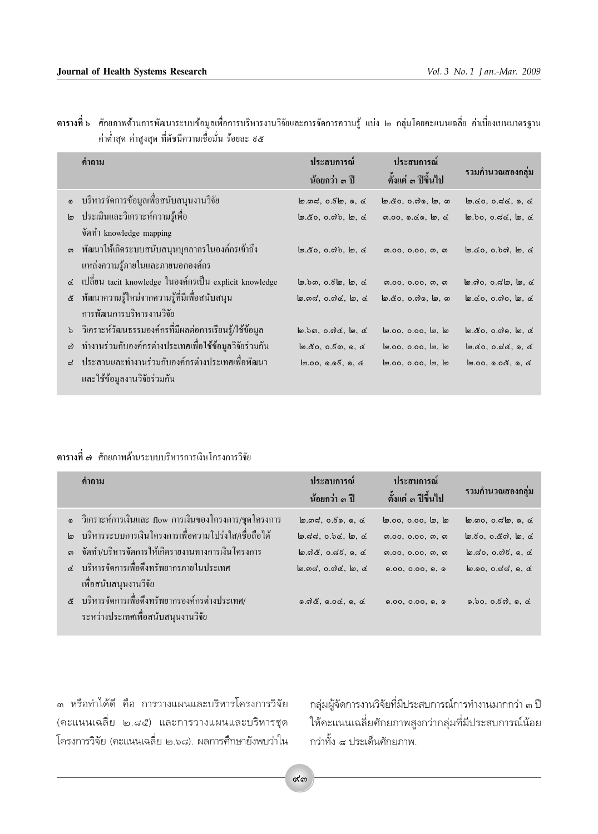|          | คำถาม                                                      | ประสบการณ์<br>น้อยกว่า ๑ ปี                                   | ประสบการณ์<br>์ตั้งแต่ ๑ ปีขึ้นไป       | รวมคำนวณสองกลุ่ม                                                  |
|----------|------------------------------------------------------------|---------------------------------------------------------------|-----------------------------------------|-------------------------------------------------------------------|
|          | ๑ บริหารจัดการข้อมูลเพื่อสนับสนุนงานวิจัย                  | $\omega$ . $\omega$ , o. $\delta\omega$ , $\omega$ , $\omega$ | <u>bo.໕o, o.๗෧, bo, ෨</u>               | $\omega$ . co. o. dc. o. c                                        |
| ๒        | ประเมินและวิเคราะห์ความรู้เพื่อ                            | $\omega$ . co, o. o.), $\omega$ , c                           |                                         | $\omega$ , bo, o.dd, $\omega$ , d                                 |
|          | จัดทำ knowledge mapping                                    |                                                               |                                         |                                                                   |
|          | ึด พัฒนาให้เกิดระบบสนับสนุนบุคลากรในองค์กรเข้าถึง          | $\omega$ , &o, o.ab, $\omega$ , &                             | <i>m.</i> 00, 0.00, <i>m</i> , <i>m</i> | $\omega$ . co, o. bo), $\omega$ , c                               |
|          | แหล่งความรู้ภายในและภายนอกองค์กร                           |                                                               |                                         |                                                                   |
|          | ๔ เปลี่ยน tacit knowledge ในองค์กรเป็น explicit knowledge  | $\omega$ , bo, o. $\epsilon$ $\omega$ , $\omega$ , $\alpha$   | <i>m.</i> 00, 0.00, <i>m</i> , <i>m</i> | $\omega$ . $\omega$ o, o. $\alpha$ $\omega$ , $\omega$ , $\alpha$ |
|          | ๕ พัฒนาความรู้ใหม่จากความรู้ที่มีเพื่อสนับสนุน             | $\omega$ . $m$ d, $o$ . $m$ d, $\omega$ , d                   | <u>bo. ඊ</u> o, o.ෆි ෙ, bo, ෨           | $\omega$ . $\alpha$ o, o. $\omega$ o, $\omega$ , $\alpha$         |
|          | การพัฒนการบริหารงานวิจัย                                   |                                                               |                                         |                                                                   |
|          | ึ่ง วิเคราะห์วัฒนธรรมองค์กรที่มีผลต่อการเรียนรู้/ใช้ข้อมูล | ๒.๖๓, ๐.๗๔, ๒, ๔                                              | lo.00, 0.00, lo, lo                     | $\omega$ . co, o. oo, $\omega$ , c                                |
| $\omega$ | ทำงานร่วมกับองค์กรต่างประเทศเพื่อใช้ข้อมูลวิจัยร่วมกัน     | $\omega$ . co, o. $\epsilon$ o, o, c                          | lo.00, 0.00, lo, lo                     | $\omega$ . co. o. dc. o. c                                        |
|          | ิ ประสานและทำงานร่วมกับองค์กรต่างประเทศเพื่อพัฒนา          | $\omega.$ 00, $0.05, 0, 0$                                    | lo.00, 0.00, lo, lo                     | $\omega$ ,00, 0.0 $\alpha$ , 0, $\alpha$                          |
|          | และใช้ข้อบลงาบวิจัยร่วบกับ                                 |                                                               |                                         |                                                                   |

ตารางที่ ๖ ศักยภาพด้านการพัฒนาระบบข้อมูลเพื่อการบริหารงานวิจัยและการจัดการความรู้ แบ่ง ๒ กลุ่มโดยคะแนนเฉลี่ย ค่าเบี่ยงเบนมาตรฐาน<br>ค่าต่ำสุด ค่าสูงสุด ที่ดัชนีความเชื่อมั่น ร้อยละ ៩๕

### ี ตารางที่ ๗ ศักยภาพด้านระบบบริหารการเงินโครงการวิจัย

| คำถาม                                                                                 | ประสบการณ์<br>น้อยกว่า ๑ ปี                                     | ประสบการณ์<br>้ตั้งแต่ ๑ ปีขึ้นไป       | รวมคำนวณสองกลุ่ม                                                |
|---------------------------------------------------------------------------------------|-----------------------------------------------------------------|-----------------------------------------|-----------------------------------------------------------------|
| ๑ วิเคราะห์การเงินและ flow การเงินของโครงการ/ชุดโครงการ                               | m, m, c, 6, 6, 6, 6                                             | lo.00, 0.00, lo, lo                     | $\omega$ , $\omega$ , $\omega$ , $\omega$ , $\omega$ , $\omega$ |
| ๒ บริหารระบบการเงินโครงการเพื่อความโปร่งใส⁄เชื่อถือใด้                                | $\omega$ , and, o.b.c. $\omega$ , and                           | <i>m</i> .oo, o.oo, <i>m</i> , <i>m</i> | $\omega$ , $50$ , $\omega$ , $\omega$ , $\omega$ , $\omega$     |
| ี ๑ จัดทำ/บริหารจัดการให้เกิดรายงานทางการเงินโครงการ                                  | $\omega$ . $\alpha$ &, $\alpha$ . $\beta$ , $\alpha$ , $\alpha$ | <i>m</i> .oo, o.oo, <i>m</i> , <i>m</i> | $\omega$ , 20, 0. $\omega$ , $\delta$ , $\alpha$ , $\alpha$     |
| ๔ บริหารจัดการเพื่อดึงทรัพยากรภายในประเทศ<br>เพื่อสนับสนุนงานวิจัย                    | $\omega$ . $m\omega$ , $\omega$ . $\omega$ , $\omega$           | 0.00, 0.00, 0, 0                        | $\omega$ , $\omega$ , $\alpha$ , $\alpha$ , $\alpha$ , $\alpha$ |
| & บริหารจัดการเพื่อดึงทรัพยากรองค์กรต่างประเทศ/<br>ระหว่างประเทศเพื่อสนับสนุนงานวิจัย | 0.026, 0.06, 0.6                                                | 0.00, 0.00, 0, 0                        | 0.50, 0.50, 0.6                                                 |

๓ หรือทำได้ดี คือ การวางแผนและบริหารโครงการวิจัย (คะแนนเฉลี่ย ๒.๘๕) และการวางแผนและบริหารชุด โครงการวิจัย (คะแนนเฉลี่ย ๒.๖๘). ผลการศึกษายังพบว่าใน

กลุ่มผู้จัดการงานวิจัยที่มีประสบการณ์การทำงานมากกว่า ๓ ปี ให้คะแนนเฉลี่ยศักยภาพสูงกว่ากลุ่มที่มีประสบการณ์น้อย กว่าทั้ง ๘ ประเด็นศักยภาพ.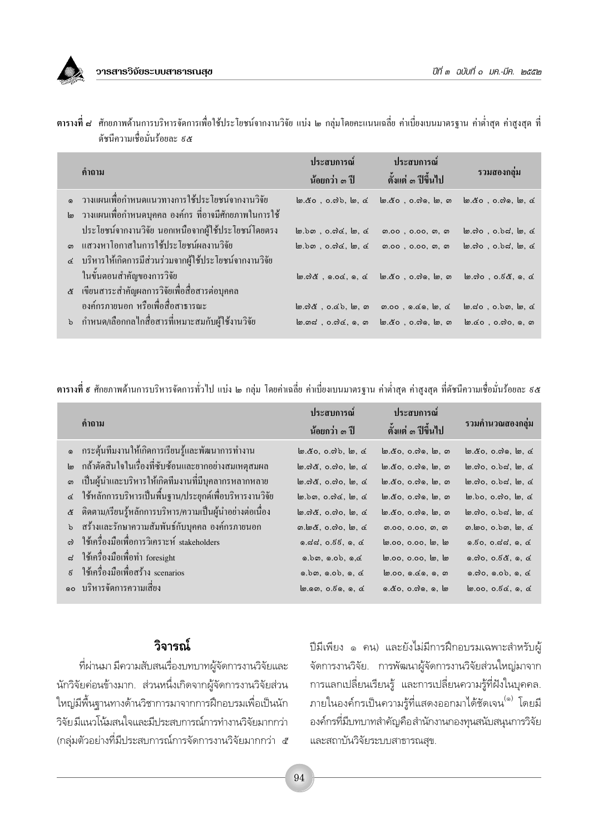วารสารวิจัยระบบสาธารณสข

| ้คำถาม                                                                                                                                                       | ประสบการณ์<br>น้อยกว่า ๑ ปี                                                                                                                          | ประสบการณ์<br>์ ตั้งแต่ ๑ ปีขึ้นไป                                                                                                                                                                               | รวมสองกลม                                                                                                |
|--------------------------------------------------------------------------------------------------------------------------------------------------------------|------------------------------------------------------------------------------------------------------------------------------------------------------|------------------------------------------------------------------------------------------------------------------------------------------------------------------------------------------------------------------|----------------------------------------------------------------------------------------------------------|
| ึด วางแผนเพื่อกำหนดแนวทางการใช้ประโยชน์จากงานวิจัย<br>๒ วางแผนเพื่อกำหนดบุคคล องค์กร ที่อาจมีศักยภาพในการใช้                                                 | $\omega$ . co. $\omega$ , $\omega$ , $\omega$ , co.                                                                                                  | $\omega$ , & o, o, o, o, $\omega$ , $\omega$ , $\omega$ , $\omega$ , $\omega$ , $\omega$ , $\omega$ , $\omega$                                                                                                   |                                                                                                          |
| ประโยชน์จากงานวิจัย นอกเหนือจากผู้ใช้ประโยชน์โดยตรง<br>ี ๑ แสวงหาโอกาสในการใช้ประโยชน์ผลงานวิจัย<br>๔ บริหารให้เกิดการมีส่วนร่วมจากผู้ใช้ประโยชน์จากงานวิจัย | $\omega$ , $\delta$ $\omega$ , $\alpha$ , $\alpha$ , $\alpha$ , $\alpha$<br>$\omega$ , $\delta$ $\omega$ , $\alpha$ , $\alpha$ , $\alpha$ , $\alpha$ | <i>m</i> .oo, o.oo, <i>m</i> , <i>m</i><br><i></i> ລ.oo , o.oo,  ລ,  ລ                                                                                                                                           | $\omega$ . $\omega$ o, o. $\delta$ d, $\omega$ , o<br>$\omega$ . $\omega$ o, o. $\delta$ d, $\omega$ , o |
| ในขั้นตอนสำคัญของการวิจัย<br>ี ๕ เขียนสาระสำคัญผลการวิจัยเพื่อสื่อสารต่อบุคคล                                                                                |                                                                                                                                                      | $\omega$ . $\alpha$ & , $\alpha$ , $\alpha$ , $\alpha$ , $\alpha$ , $\alpha$ , $\alpha$ , $\alpha$ , $\alpha$ , $\alpha$ , $\alpha$ , $\alpha$ , $\alpha$ , $\alpha$ , $\alpha$ , $\alpha$ , $\alpha$ , $\alpha$ |                                                                                                          |
| ้องค์กรภายนอก หรือเพื่อสื่อสาธารณะ<br>ึ่ง กำหนด/เลือกกลไกสื่อสารที่เหมาะสมกับผู้ใช้งานวิจัย                                                                  | $\omega$ . $\alpha$ &, $\alpha$ . $\alpha$ b, $\omega$ , $\omega$<br>lග.ගය , o.ෆ)ය, ඉ, ග                                                             | 0.00, 0.00, 0.00, 0.00                                                                                                                                                                                           | $\omega$ .do, o.bo, $\omega$ , o                                                                         |

ี ตารางที่ ๘ ศักยภาพด้านการบริหารจัดการเพื่อใช้ประโยชน์จากงานวิจัย แบ่ง ๒ กลุ่มโดยคะแนนเฉลี่ย ค่าเบี่ยงเบนมาตรฐาน ค่าต่ำสุด ค่าสูงสุด ที่ ้ดัชนีความเชื่อมั่นร้อยละ ส&

ี ตารางที่ ๕ ศักยภาพด้านการบริหารจัดการทั่วไป แบ่ง ๒ กลุ่ม โดยค่าเฉลี่ย ค่าเบี่ยงเบนมาตรฐาน ค่าต่ำสุด ค่าสูงสุด ที่ดัชนีความเชื่อมั่นร้อยละ ๕๕

|                  | คำถาม                                                     | ประสบการณ์<br>น้อยกว่า ๑ ปี                                       | <u> ประสบการณ์</u><br>์ตั้งแต่ ๑ ปีขึ้นไป | รวมคำนวณสองกลุ่ม                                   |
|------------------|-----------------------------------------------------------|-------------------------------------------------------------------|-------------------------------------------|----------------------------------------------------|
| $\odot$          | ้ กระตุ้นทีมงานให้เกิดการเรียนรู้และพัฒนาการทำงาน         | $\omega$ . co, o. o.), $\omega$ , c                               | <u>b</u> . &o, o.ෆි , b, ෨                | $\omega$ . co, o.oo, $\omega$ , c                  |
| ကြ               | ึกถ้าตัดสินใจในเรื่องที่ซับซ้อนและยากอย่างสมเหตุสมผล      | $\omega$ . $\alpha$ &, o. $\alpha$ o, $\omega$ , o                | lo. &o, o. cdo, lo, on                    | ๒.๗๐, ๐.๖๘, ๒, ๔                                   |
| ை                | ้เป็นผู้นำและบริหารให้เกิดทีมงานที่มีบุคลากรหลากหลาย      | $\omega$ . $\alpha$ &, $\alpha$ . $\alpha$ o, $\omega$ , $\alpha$ | lo. &o, o. ෆු, lo, ග                      | ๒.๗๐, ๐.๖๘, ๒, ๔                                   |
|                  | ๔ ใช้หลักการบริหารเป็นพื้นฐาน/ประยุกต์เพื่อบริหารงานวิจัย | ๒.๖๓, ๐.๗๔, ๒, ๔                                                  | lo. &o. o. oo. lo. o                      | $\omega$ , bo, o. $\omega$ o, $\omega$ , o.        |
| ද්               | ้ติดตาม/เรียนรู้หลักการบริหาร/ความเป็นผู้นำอย่างต่อเนื่อง | $\omega$ . $\omega$ &, o. $\omega$ o, $\omega$ , o                | <u>b, &amp;o, o.do, b, m</u>              | $\omega$ . $\omega$ o, o. $\delta$ d, $\omega$ , o |
| $\mathfrak{b}$   | ิสร้างและรักษาความสัมพันธ์กับบุคคล องค์กรภายนอก           | ග. හරි, o.ෆ්o,  හ, c                                              | <i>ရ</i> .oo, o.oo, <i>ရ</i> , ၈          |                                                    |
|                  | ใช้เครื่องมือเพื่อการวิเคราะห์ stakeholders               | 0.55, 0.55, 0, 0                                                  | <u>ெ</u> .00, 0.00, ๒, ๒                  | 0.50, 0.55, 0, 0.                                  |
| ದ                | ใช้เครื่องมือเพื่อทำ foresight                            | 0.50, 0.05, 0.0                                                   | lo.00, 0.00, lo, lo                       | 0.00, 0.50, 0.00                                   |
| $\tilde{\kappa}$ | ใช้เครื่องมือเพื่อสร้าง scenarios                         | $0.\overline{b}0, 0.0\overline{b}, 0.0$                           | ๒.๐๐, ๑.๔๑, ๑, ๓                          | 0.000, 0.00, 0, 0.00                               |
|                  | ำเริหารจัดการความเสี่ยง                                   | $\omega$ . $\omega$ , $\omega$ . $\delta$ , $\omega$ , $\alpha$   | ๑.๕๐, ๐.๗๑, ๑, ๒                          | $\omega$ .00, 0.5 $\alpha$ , 0, $\alpha$           |

# วิจารณ์

ที่ผ่านมา มีความสับสนเรื่องบทบาทผู้จัดการงานวิจัยและ นักวิจัยค่อนข้างมาก. ส่วนหนึ่งเกิดจากผู้จัดการงานวิจัยส่วน ใหญ่มีพื้นฐานทางด้านวิชาการมาจากการฝึกอบรมเพื่อเป็นนัก วิจัย มีแนวโน้มสนใจและมีประสบการณ์การทำงานวิจัยมากกว่า (กลุ่มตัวอย่างที่มีประสบการณ์การจัดการงานวิจัยมากกว่า ๕ ปีมีเพียง ๑ คน) และยังไม่มีการฝึกอบรมเฉพาะสำหรับผู้ จัดการงานวิจัย. การพัฒนาผู้จัดการงานวิจัยส่วนใหญ่มาจาก การแลกเปลี่ยนเรียนรู้ และการเปลี่ยนความรู้ที่ฝังในบุคคล. ่ ภายในองค์กรเป็นความรู้ที่แสดงออกมาได้ชัดเจน<sup>(๑)</sup> โดยมี องค์กรที่มีบทบาทสำคัญคือสำนักงานกองทุนสนับสนุนการวิจัย และสถาบันวิจัยระบบสาธารณสุข.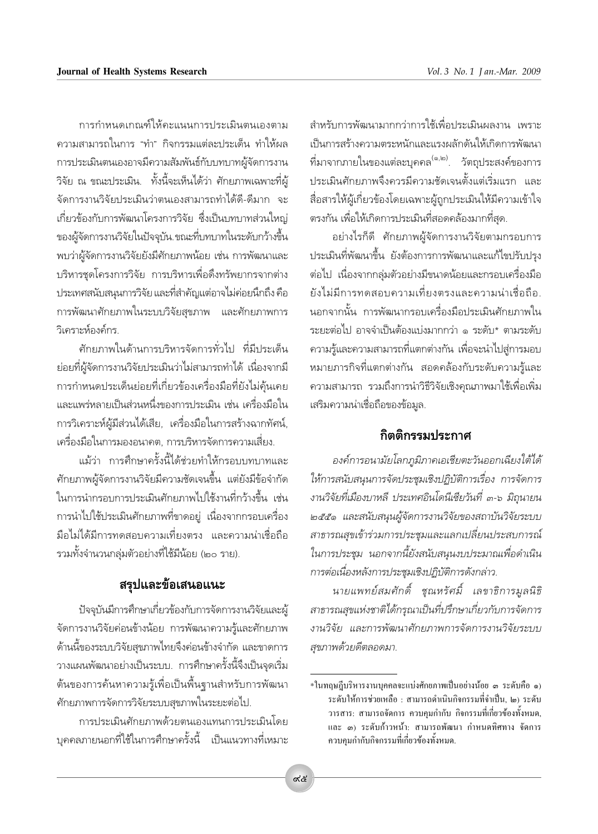การกำหนดเกณฑ์ให้คะแนนการประเมินตนเองตาม ้ความสามารถในการ "ทำ" กิจกรรมแต่ละประเด็น ทำให้ผล การประเมินตนเองอาจมีความสัมพันธ์กับบทบาทผู้จัดการงาน ้วิจัย ณ ขณะประเมิน. ทั้งนี้จะเห็นได้ว่า ศักยภาพเฉพาะที่ผู้ ้จัดการงานวิจัยประเมินว่าตนเองสามารถทำได้ดี-ดีมาก จะ เกี่ยวข้องกับการพัฒนาโครงการวิจัย ซึ่งเป็นบทบาทส่วนใหญ่ ของผู้จัดการงานวิจัยในปัจจุบัน.ขณะที่บทบาทในระดับกว้างขึ้น ่ พบว่าผู้จัดการงานวิจัยยังมีศักยภาพน้อย เช่น การพัฒนาและ บริหารชดโครงการวิจัย การบริหารเพื่อดึงทรัพยากรจากต่าง ประเทศสนับสนุนการวิจัย และที่สำคัญแต่อาจไม่ค่อยนึกถึง คือ การพัฒนาศักยภาพในระบบวิจัยสุขภาพ และศักยภาพการ วิเคราะห์องค์กร

์ศักยภาพในด้านการบริหารจัดการทั่วไป ที่มีประเด็น ย่อยที่ผู้จัดการงานวิจัยประเมินว่าไม่สามารถทำได้ เนื่องจากมี การกำหนดประเด็นย่อยที่เกี่ยวข้องเครื่องมือที่ยังไม่คุ้นเคย และแพร่หลายเป็นส่วนหนึ่งของการประเมิน เช่น เครื่องมือใน การวิเคราะห์ผู้มีส่วนได้เสีย, เครื่องมือในการสร้างฉากทัศน์, เครื่องมือในการมองอนาคต. การบริหารจัดการความเสี่ยง.

แม้ว่า การศึกษาครั้งนี้ได้ช่วยทำให้กรอบบทบาทและ ์ศักยภาพผู้จัดการงานวิจัยมีความชัดเจนขึ้น แต่ยังมีข้อจำกัด ในการนำกรอบการประเมินศักยภาพไปใช้งานที่กว้างขึ้น เช่น การนำไปใช้ประเมินศักยภาพที่ขาดอย่ เนื่องจากกรอบเครื่อง มือไม่ได้มีการทดสอบความเที่ยงตรง และความน่าเชื่อถือ รวมทั้งจำนวนกลุ่มตัวอย่างที่ใช้มีน้อย (๒๐ ราย).

## สรุปและข้อเสนอแนะ

้ ปัจจุบันมีการศึกษาเกี่ยวข้องกับการจัดการงานวิจัยและผู้ จัดการงานวิจัยค่อนข้างน้อย การพัฒนาความรู้และศักยภาพ ้ด้านนี้ของระบบวิจัยสุขภาพไทยจึงค่อนข้างจำกัด และขาดการ วางแผนพัฒนาอย่างเป็นระบบ. การศึกษาครั้งนี้จึงเป็นจุดเริ่ม ต้นของการค้นหาความรู้เพื่อเป็นพื้นฐานสำหรับการพัฒนา ศักยภาพการจัดการวิจัยระบบสุขภาพในระยะต่อไป.

การประเมินศักยภาพด้วยตนเองแทนการประเมินโดย ้บุคคลภายนอกที่ใช้ในการศึกษาครั้งนี้ เป็นแนวทางที่เหมาะ

สำหรับการพัฒนามากกว่าการใช้เพื่อประเมินผลงาน เพราะ เป็นการสร้างความตระหนักและแรงผลักดันให้เกิดการพัฒนา ที่มาจากภายในของแต่ละบุคคล<sup>(๑,๒)</sup>. วัตถุประสงค์ของการ ประเมินศักยภาพจึงควรมีความชัดเจนตั้งแต่เริ่มแรก และ สื่อสารให้ผู้เกี่ยวข้องโดยเฉพาะผู้ถูกประเมินให้มีความเข้าใจ ตรงกัน เพื่อให้เกิดการประเมินที่สอดคล้องมากที่สุด.

้อย่างไรก็ดี ศักยภาพผ้จัดการงานวิจัยตามกรอบการ ประเมินที่พัฒนาขึ้น ยังต้องการการพัฒนาและแก้ไขปรับปรุง ต่อไป เนื่องจากกล่มตัวอย่างมีขนาดน้อยและกรอบเครื่องมือ ยังไม่มีการทดสอบความเที่ยงตรงและความน่าเชื่อถือ. นอกจากนั้น การพัฒนากรอบเครื่องมือประเมินศักยภาพใน ระยะต่อไป อาจจำเป็นต้องแบ่งมากกว่า ๑ ระดับ\* ตามระดับ ความรู้และความสามารถที่แตกต่างกัน เพื่อจะนำไปสู่การมอบ หมายภารกิจที่แตกต่างกัน สอดคล้องกับระดับความรู้และ ความสามารถ รวมถึงการนำวิธีวิจัยเชิงคุณภาพมาใช้เพื่อเพิ่ม เสริมความน่าเชื่อถือของข้อมล.

# กิตติกรรมประกาศ

องค์การอนามัยโลกภูมิภาคเอเชียตะวันออกเฉียงใต้ได้ ให้การสนับสนุนการจัดประชุมเชิงปฏิบัติการเรื่อง การจัดการ งานวิจัยที่เมืองบาหลี ประเทศอินโดนีเซียวันที่ ๓-๖ มิถุนายน ๒๕๕๑ และสนับสนุนผู้จัดการงานวิจัยของสถาบันวิจัยระบบ สาธารณสุขเข้าร่วมการประชุมและแลกเปลี่ยนประสบการณ์ ในการประชุม นอกจากนี้ยังสนับสนุนงบประมาณเพื่อดำเนิน การต่อเนื่องหลังการประชุมเชิงปฏิบัติการดังกล่าว.

นายแพทย์สมศักดิ์ ชุณหรัศมิ์ เลขาธิการมูลนิธิ สาธารณสุขแห่งชาติได้กรุณาเป็นที่ปรึกษาเกี่ยวกับการจัดการ งานวิจัย และการพัฒนาศักยภาพการจัดการงานวิจัยระบบ สุขภาพด้วยดีตลอดมา.

<sup>\*</sup>ในทฤษฎีบริหารงานบุคคลจะแบ่งศักยภาพเป็นอย่างน้อย ๑ ระคับคือ ๑) ระดับให้การช่วยเหลือ : สามารถดำเนินกิจกรรมที่จำเป็น, ๒) ระดับ วารสาร: สามารถจัดการ ควบคุมกำกับ กิจกรรมที่เกี่ยวข้องทั้งหมด, และ ๑) ระคับก้าวหน้า: สามารถพัฒนา กำหนดทิศทาง จัคการ ควบคุมกำกับกิจกรรมที่เกี่ยวข้องทั้งหมด.